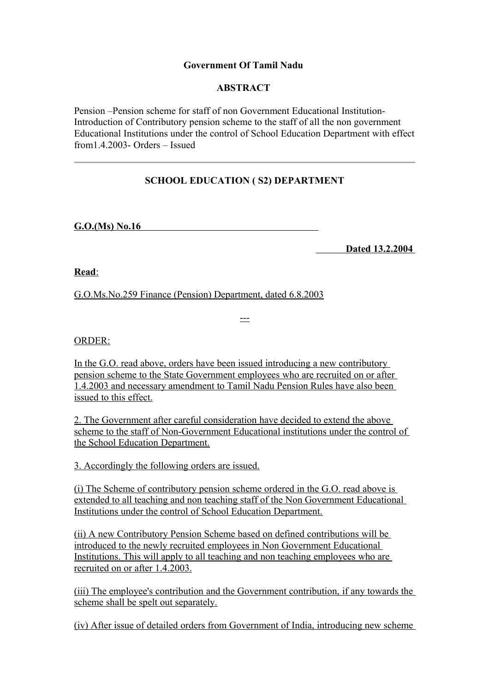## **Government Of Tamil Nadu**

## **ABSTRACT**

Pension –Pension scheme for staff of non Government Educational Institution-Introduction of Contributory pension scheme to the staff of all the non government Educational Institutions under the control of School Education Department with effect from1.4.2003- Orders – Issued

# **SCHOOL EDUCATION ( S2) DEPARTMENT**

 **G.O.(Ms) No.16**

 **Dated 13.2.2004** 

 **Read** :

G.O.Ms.No.259 Finance (Pension) Department, dated 6.8.2003

---

ORDER:

In the G.O. read above, orders have been issued introducing a new contributory pension scheme to the State Government employees who are recruited on or after 1.4.2003 and necessary amendment to Tamil Nadu Pension Rules have also been issued to this effect.

2. The Government after careful consideration have decided to extend the above scheme to the staff of Non-Government Educational institutions under the control of the School Education Department.

3. Accordingly the following orders are issued.

(i) The Scheme of contributory pension scheme ordered in the G.O. read above is extended to all teaching and non teaching staff of the Non Government Educational Institutions under the control of School Education Department.

(ii) A new Contributory Pension Scheme based on defined contributions will be introduced to the newly recruited employees in Non Government Educational Institutions. This will apply to all teaching and non teaching employees who are recruited on or after 1.4.2003.

(iii) The employee's contribution and the Government contribution, if any towards the scheme shall be spelt out separately.

(iv) After issue of detailed orders from Government of India, introducing new scheme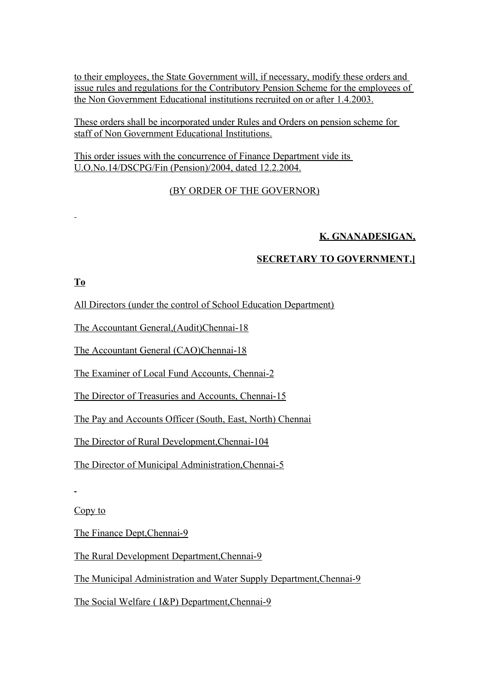to their employees, the State Government will, if necessary, modify these orders and issue rules and regulations for the Contributory Pension Scheme for the employees of the Non Government Educational institutions recruited on or after 1.4.2003.

These orders shall be incorporated under Rules and Orders on pension scheme for staff of Non Government Educational Institutions.

This order issues with the concurrence of Finance Department vide its U.O.No.14/DSCPG/Fin (Pension)/2004, dated 12.2.2004.

## (BY ORDER OF THE GOVERNOR)

## **K. GNANADESIGAN,**

## **SECRETARY TO GOVERNMENT.]**

## **To**

All Directors (under the control of School Education Department)

The Accountant General,(Audit)Chennai-18

The Accountant General (CAO)Chennai-18

The Examiner of Local Fund Accounts, Chennai-2

The Director of Treasuries and Accounts, Chennai-15

The Pay and Accounts Officer (South, East, North) Chennai

The Director of Rural Development,Chennai-104

The Director of Municipal Administration,Chennai-5

Copy to

The Finance Dept,Chennai-9

The Rural Development Department,Chennai-9

The Municipal Administration and Water Supply Department,Chennai-9

The Social Welfare ( I&P) Department,Chennai-9